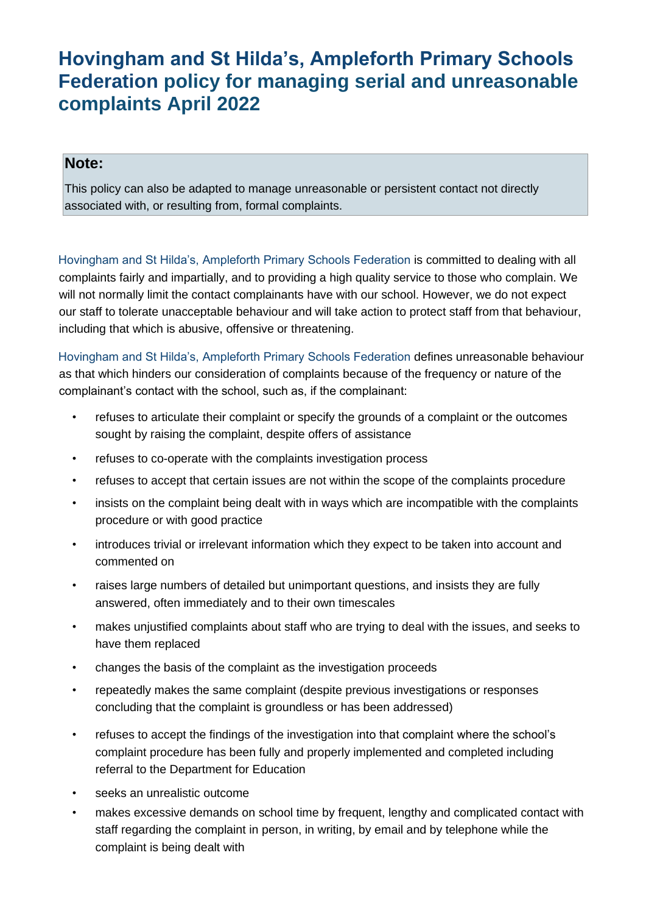## **Hovingham and St Hilda's, Ampleforth Primary Schools Federation policy for managing serial and unreasonable complaints April 2022**

## **Note:**

This policy can also be adapted to manage unreasonable or persistent contact not directly associated with, or resulting from, formal complaints.

Hovingham and St Hilda's, Ampleforth Primary Schools Federation is committed to dealing with all complaints fairly and impartially, and to providing a high quality service to those who complain. We will not normally limit the contact complainants have with our school. However, we do not expect our staff to tolerate unacceptable behaviour and will take action to protect staff from that behaviour, including that which is abusive, offensive or threatening.

Hovingham and St Hilda's, Ampleforth Primary Schools Federation defines unreasonable behaviour as that which hinders our consideration of complaints because of the frequency or nature of the complainant's contact with the school, such as, if the complainant:

- refuses to articulate their complaint or specify the grounds of a complaint or the outcomes sought by raising the complaint, despite offers of assistance
- refuses to co-operate with the complaints investigation process
- refuses to accept that certain issues are not within the scope of the complaints procedure
- insists on the complaint being dealt with in ways which are incompatible with the complaints procedure or with good practice
- introduces trivial or irrelevant information which they expect to be taken into account and commented on
- raises large numbers of detailed but unimportant questions, and insists they are fully answered, often immediately and to their own timescales
- makes unjustified complaints about staff who are trying to deal with the issues, and seeks to have them replaced
- changes the basis of the complaint as the investigation proceeds
- repeatedly makes the same complaint (despite previous investigations or responses concluding that the complaint is groundless or has been addressed)
- refuses to accept the findings of the investigation into that complaint where the school's complaint procedure has been fully and properly implemented and completed including referral to the Department for Education
- seeks an unrealistic outcome
- makes excessive demands on school time by frequent, lengthy and complicated contact with staff regarding the complaint in person, in writing, by email and by telephone while the complaint is being dealt with